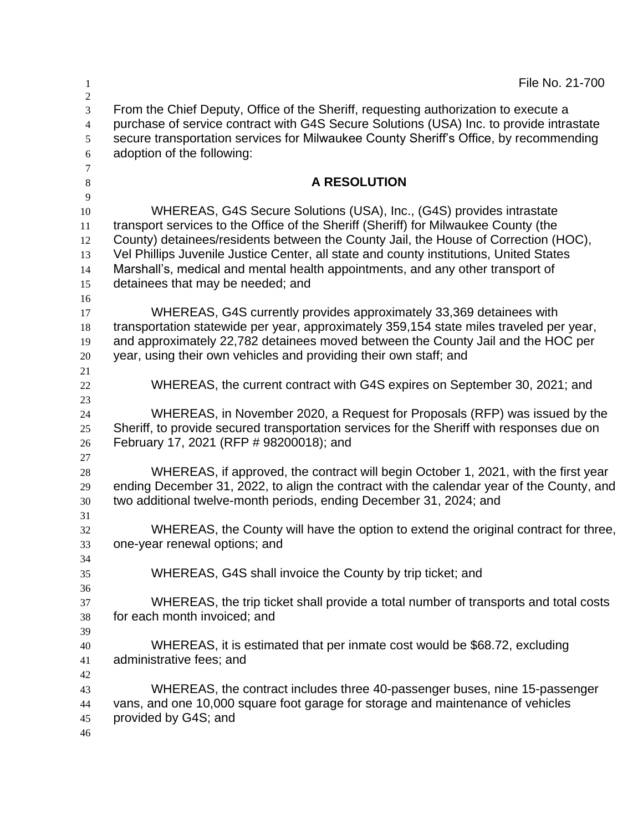| $\mathbf{1}$<br>$\sqrt{2}$                      | File No. 21-700                                                                                                                                                                                                                                                                                                                                                                                                                                                     |
|-------------------------------------------------|---------------------------------------------------------------------------------------------------------------------------------------------------------------------------------------------------------------------------------------------------------------------------------------------------------------------------------------------------------------------------------------------------------------------------------------------------------------------|
| $\overline{3}$<br>$\overline{4}$<br>5<br>6<br>7 | From the Chief Deputy, Office of the Sheriff, requesting authorization to execute a<br>purchase of service contract with G4S Secure Solutions (USA) Inc. to provide intrastate<br>secure transportation services for Milwaukee County Sheriff's Office, by recommending<br>adoption of the following:                                                                                                                                                               |
| 8                                               | <b>A RESOLUTION</b>                                                                                                                                                                                                                                                                                                                                                                                                                                                 |
| 9<br>10<br>11<br>12<br>13<br>14<br>15           | WHEREAS, G4S Secure Solutions (USA), Inc., (G4S) provides intrastate<br>transport services to the Office of the Sheriff (Sheriff) for Milwaukee County (the<br>County) detainees/residents between the County Jail, the House of Correction (HOC),<br>Vel Phillips Juvenile Justice Center, all state and county institutions, United States<br>Marshall's, medical and mental health appointments, and any other transport of<br>detainees that may be needed; and |
| 16<br>17<br>18<br>19<br>20                      | WHEREAS, G4S currently provides approximately 33,369 detainees with<br>transportation statewide per year, approximately 359,154 state miles traveled per year,<br>and approximately 22,782 detainees moved between the County Jail and the HOC per<br>year, using their own vehicles and providing their own staff; and                                                                                                                                             |
| 21<br>22                                        | WHEREAS, the current contract with G4S expires on September 30, 2021; and                                                                                                                                                                                                                                                                                                                                                                                           |
| 23<br>24<br>25<br>26                            | WHEREAS, in November 2020, a Request for Proposals (RFP) was issued by the<br>Sheriff, to provide secured transportation services for the Sheriff with responses due on<br>February 17, 2021 (RFP # 98200018); and                                                                                                                                                                                                                                                  |
| 27<br>$28\,$<br>29<br>30                        | WHEREAS, if approved, the contract will begin October 1, 2021, with the first year<br>ending December 31, 2022, to align the contract with the calendar year of the County, and<br>two additional twelve-month periods, ending December 31, 2024; and                                                                                                                                                                                                               |
| 31<br>32<br>33                                  | WHEREAS, the County will have the option to extend the original contract for three,<br>one-year renewal options; and                                                                                                                                                                                                                                                                                                                                                |
| 34<br>35                                        | WHEREAS, G4S shall invoice the County by trip ticket; and                                                                                                                                                                                                                                                                                                                                                                                                           |
| 36<br>37<br>38<br>39                            | WHEREAS, the trip ticket shall provide a total number of transports and total costs<br>for each month invoiced; and                                                                                                                                                                                                                                                                                                                                                 |
| 40<br>41                                        | WHEREAS, it is estimated that per inmate cost would be \$68.72, excluding<br>administrative fees; and                                                                                                                                                                                                                                                                                                                                                               |
| 42<br>43<br>44<br>45<br>46                      | WHEREAS, the contract includes three 40-passenger buses, nine 15-passenger<br>vans, and one 10,000 square foot garage for storage and maintenance of vehicles<br>provided by G4S; and                                                                                                                                                                                                                                                                               |